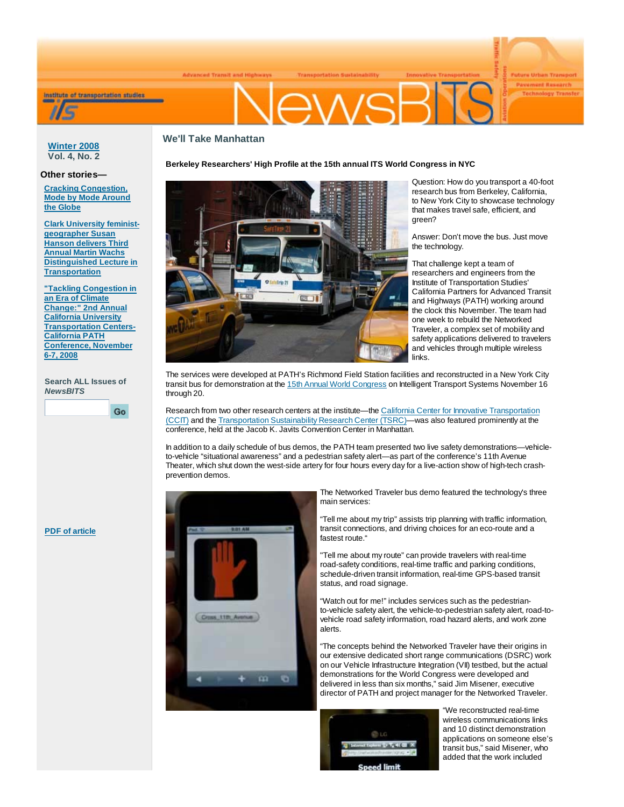



**PIVIS** 

**Future Urban Transport Payement Research** 

# **We'll Take Manhattan**

**Winter 2008 Vol. 4, No. 2**

## **Other stories—**

**Cracking Congestion, Mode by Mode Around the Globe**

**Clark University feministgeographer Susan Hanson delivers Third Annual Martin Wachs Distinguished Lecture in Transportation**

**"Tackling Congestion in an Era of Climate Change:" 2nd Annual California University Transportation Centers-California PATH Conference, November 6-7, 2008**

**Search ALL Issues of** *NewsBITS*

Go





Question: How do you transport a 40-foot research bus from Berkeley, California, to New York City to showcase technology that makes travel safe, efficient, and green?

Answer: Don't move the bus. Just move the technology.

That challenge kept a team of researchers and engineers from the Institute of Transportation Studies' California Partners for Advanced Transit and Highways (PATH) working around the clock this November. The team had one week to rebuild the Networked Traveler, a complex set of mobility and safety applications delivered to travelers and vehicles through multiple wireless links.

The services were developed at PATH's Richmond Field Station facilities and reconstructed in a New York City transit bus for demonstration at the 15th Annual World Congress on Intelligent Transport Systems November 16 through 20.

Research from two other research centers at the institute—the California Center for Innovative Transportation (CCIT) and the Transportation Sustainability Research Center (TSRC)—was also featured prominently at the conference, held at the Jacob K. Javits Convention Center in Manhattan.

In addition to a daily schedule of bus demos, the PATH team presented two live safety demonstrations—vehicleto-vehicle "situational awareness" and a pedestrian safety alert—as part of the conference's 11th Avenue Theater, which shut down the west-side artery for four hours every day for a live-action show of high-tech crashprevention demos.



The Networked Traveler bus demo featured the technology's three main services:

"Tell me about my trip" assists trip planning with traffic information, transit connections, and driving choices for an eco-route and a fastest route."

"Tell me about my route" can provide travelers with real-time road-safety conditions, real-time traffic and parking conditions, schedule-driven transit information, real-time GPS-based transit status, and road signage.

"Watch out for me!" includes services such as the pedestrianto-vehicle safety alert, the vehicle-to-pedestrian safety alert, road-tovehicle road safety information, road hazard alerts, and work zone alerts.

"The concepts behind the Networked Traveler have their origins in our extensive dedicated short range communications (DSRC) work on our Vehicle Infrastructure Integration (VII) testbed, but the actual demonstrations for the World Congress were developed and delivered in less than six months," said Jim Misener, executive director of PATH and project manager for the Networked Traveler.



"We reconstructed real-time wireless communications links and 10 distinct demonstration applications on someone else's transit bus," said Misener, who added that the work included

**PDF of article**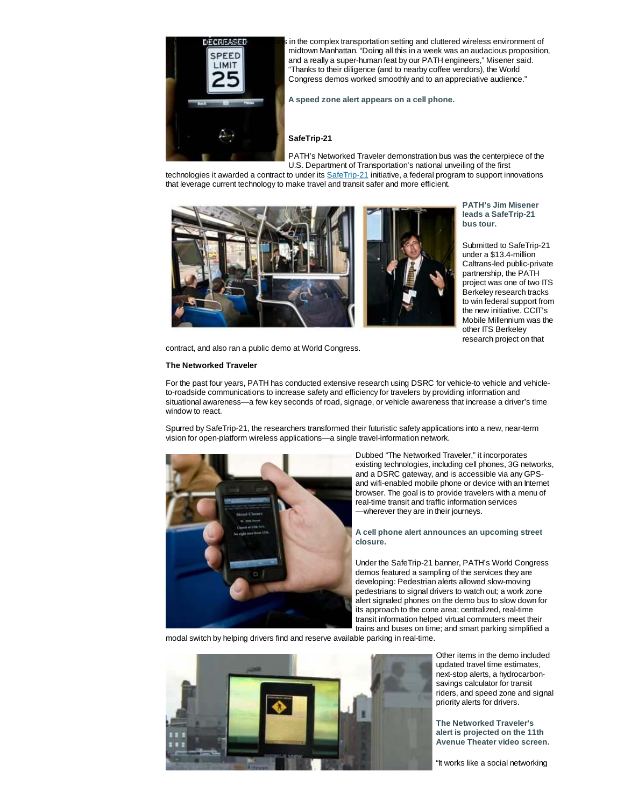

dcrepeated **onext repeated operations** in the complex transportation setting and cluttered wireless environment of midtown Manhattan. "Doing all this in a week was an audacious proposition, and a really a super-human feat by our PATH engineers," Misener said. "Thanks to their diligence (and to nearby coffee vendors), the World Congress demos worked smoothly and to an appreciative audience."

**A speed zone alert appears on a cell phone.**

## **SafeTrip-21**

PATH's Networked Traveler demonstration bus was the centerpiece of the U.S. Department of Transportation's national unveiling of the first

technologies it awarded a contract to under its SafeTrip-21 initiative, a federal program to support innovations that leverage current technology to make travel and transit safer and more efficient.



**PATH's Jim Misener leads a SafeTrip-21 bus tour.**

Submitted to SafeTrip-21 under a \$13.4-million Caltrans-led public-private partnership, the PATH project was one of two ITS Berkeley research tracks to win federal support from the new initiative. CCIT's Mobile Millennium was the other ITS Berkelev research project on that

contract, and also ran a public demo at World Congress.

### **The Networked Traveler**

For the past four years, PATH has conducted extensive research using DSRC for vehicle-to vehicle and vehicleto-roadside communications to increase safety and efficiency for travelers by providing information and situational awareness—a few key seconds of road, signage, or vehicle awareness that increase a driver's time window to react.

Spurred by SafeTrip-21, the researchers transformed their futuristic safety applications into a new, near-term vision for open-platform wireless applications—a single travel-information network.



Dubbed "The Networked Traveler," it incorporates existing technologies, including cell phones, 3G networks, and a DSRC gateway, and is accessible via any GPSand wifi-enabled mobile phone or device with an Internet browser. The goal is to provide travelers with a menu of real-time transit and traffic information services —wherever they are in their journeys.

**A cell phone alert announces an upcoming street closure.**

Under the SafeTrip-21 banner, PATH's World Congress demos featured a sampling of the services they are developing: Pedestrian alerts allowed slow-moving pedestrians to signal drivers to watch out; a work zone alert signaled phones on the demo bus to slow down for its approach to the cone area; centralized, real-time transit information helped virtual commuters meet their trains and buses on time; and smart parking simplified a

modal switch by helping drivers find and reserve available parking in real-time.



Other items in the demo included updated travel time estimates, next-stop alerts, a hydrocarbonsavings calculator for transit riders, and speed zone and signal priority alerts for drivers.

**The Networked Traveler's alert is projected on the 11th Avenue Theater video screen.**

"It works like a social networking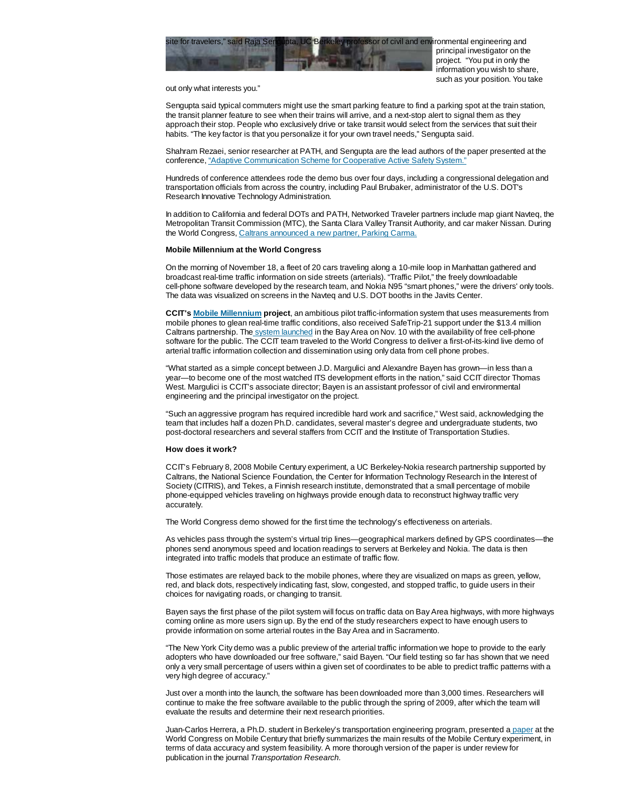

principal investigator on the project. "You put in only the information you wish to share, such as your position. You take

out only what interests you."

Sengupta said typical commuters might use the smart parking feature to find a parking spot at the train station, the transit planner feature to see when their trains will arrive, and a next-stop alert to signal them as they approach their stop. People who exclusively drive or take transit would select from the services that suit their habits. "The key factor is that you personalize it for your own travel needs," Sengupta said.

Shahram Rezaei, senior researcher at PATH, and Sengupta are the lead authors of the paper presented at the conference, "Adaptive Communication Scheme for Cooperative Active Safety System."

Hundreds of conference attendees rode the demo bus over four days, including a congressional delegation and transportation officials from across the country, including Paul Brubaker, administrator of the U.S. DOT's Research Innovative Technology Administration.

In addition to California and federal DOTs and PATH, Networked Traveler partners include map giant Navteq, the Metropolitan Transit Commission (MTC), the Santa Clara Valley Transit Authority, and car maker Nissan. During the World Congress, Caltrans announced a new partner, Parking Carma.

#### **Mobile Millennium at the World Congress**

On the morning of November 18, a fleet of 20 cars traveling along a 10-mile loop in Manhattan gathered and broadcast real-time traffic information on side streets (arterials). "Traffic Pilot," the freely downloadable cell-phone software developed by the research team, and Nokia N95 "smart phones," were the drivers' only tools. The data was visualized on screens in the Navteq and U.S. DOT booths in the Javits Center.

**CCIT's Mobile Millennium project**, an ambitious pilot traffic-information system that uses measurements from mobile phones to glean real-time traffic conditions, also received SafeTrip-21 support under the \$13.4 million Caltrans partnership. The system launched in the Bay Area on Nov. 10 with the availability of free cell-phone software for the public. The CCIT team traveled to the World Congress to deliver a first-of-its-kind live demo of arterial traffic information collection and dissemination using only data from cell phone probes.

"What started as a simple concept between J.D. Margulici and Alexandre Bayen has grown—in less than a year—to become one of the most watched ITS development efforts in the nation," said CCIT director Thomas West. Margulici is CCIT's associate director; Bayen is an assistant professor of civil and environmental engineering and the principal investigator on the project.

"Such an aggressive program has required incredible hard work and sacrifice," West said, acknowledging the team that includes half a dozen Ph.D. candidates, several master's degree and undergraduate students, two post-doctoral researchers and several staffers from CCIT and the Institute of Transportation Studies.

#### **How does it work?**

CCIT's February 8, 2008 Mobile Century experiment, a UC Berkeley-Nokia research partnership supported by Caltrans, the National Science Foundation, the Center for Information Technology Research in the Interest of Society (CITRIS), and Tekes, a Finnish research institute, demonstrated that a small percentage of mobile phone-equipped vehicles traveling on highways provide enough data to reconstruct highway traffic very accurately.

The World Congress demo showed for the first time the technology's effectiveness on arterials.

As vehicles pass through the system's virtual trip lines—geographical markers defined by GPS coordinates—the phones send anonymous speed and location readings to servers at Berkeley and Nokia. The data is then integrated into traffic models that produce an estimate of traffic flow.

Those estimates are relayed back to the mobile phones, where they are visualized on maps as green, yellow, red, and black dots, respectively indicating fast, slow, congested, and stopped traffic, to guide users in their choices for navigating roads, or changing to transit.

Bayen says the first phase of the pilot system will focus on traffic data on Bay Area highways, with more highways coming online as more users sign up. By the end of the study researchers expect to have enough users to provide information on some arterial routes in the Bay Area and in Sacramento.

"The New York City demo was a public preview of the arterial traffic information we hope to provide to the early adopters who have downloaded our free software," said Bayen. "Our field testing so far has shown that we need only a very small percentage of users within a given set of coordinates to be able to predict traffic patterns with a very high degree of accuracy."

Just over a month into the launch, the software has been downloaded more than 3,000 times. Researchers will continue to make the free software available to the public through the spring of 2009, after which the team will evaluate the results and determine their next research priorities.

Juan-Carlos Herrera, a Ph.D. student in Berkeley's transportation engineering program, presented a paper at the World Congress on Mobile Century that briefly summarizes the main results of the Mobile Century experiment, in terms of data accuracy and system feasibility. A more thorough version of the paper is under review for publication in the journal *Transportation Research.*